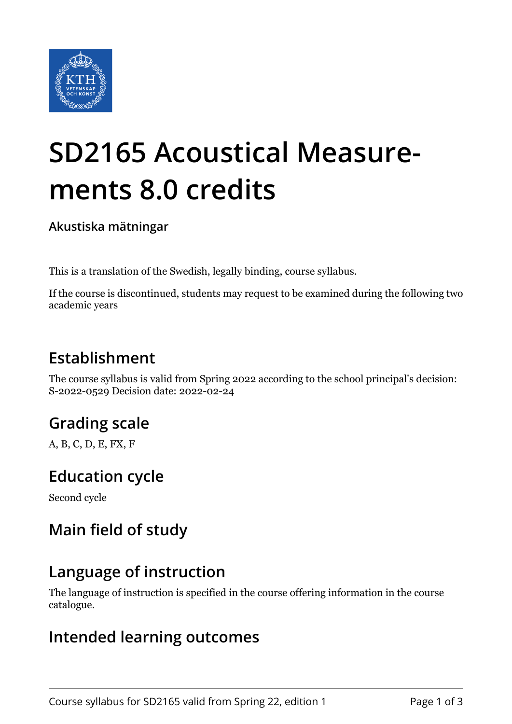

# **SD2165 Acoustical Measurements 8.0 credits**

**Akustiska mätningar**

This is a translation of the Swedish, legally binding, course syllabus.

If the course is discontinued, students may request to be examined during the following two academic years

# **Establishment**

The course syllabus is valid from Spring 2022 according to the school principal's decision: S-2022-0529 Decision date: 2022-02-24

# **Grading scale**

A, B, C, D, E, FX, F

## **Education cycle**

Second cycle

## **Main field of study**

## **Language of instruction**

The language of instruction is specified in the course offering information in the course catalogue.

#### **Intended learning outcomes**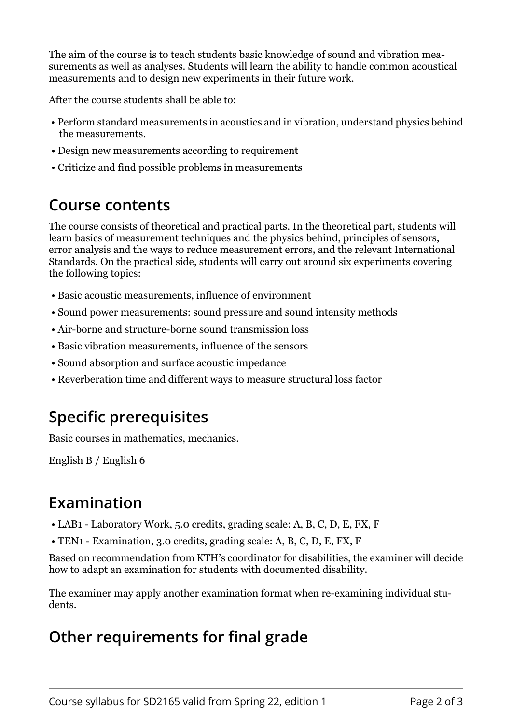The aim of the course is to teach students basic knowledge of sound and vibration measurements as well as analyses. Students will learn the ability to handle common acoustical measurements and to design new experiments in their future work.

After the course students shall be able to:

- Perform standard measurements in acoustics and in vibration, understand physics behind the measurements.
- Design new measurements according to requirement
- Criticize and find possible problems in measurements

#### **Course contents**

The course consists of theoretical and practical parts. In the theoretical part, students will learn basics of measurement techniques and the physics behind, principles of sensors, error analysis and the ways to reduce measurement errors, and the relevant International Standards. On the practical side, students will carry out around six experiments covering the following topics:

- Basic acoustic measurements, influence of environment
- Sound power measurements: sound pressure and sound intensity methods
- Air-borne and structure-borne sound transmission loss
- Basic vibration measurements, influence of the sensors
- Sound absorption and surface acoustic impedance
- Reverberation time and different ways to measure structural loss factor

## **Specific prerequisites**

Basic courses in mathematics, mechanics.

English B / English 6

## **Examination**

- LAB1 Laboratory Work, 5.0 credits, grading scale: A, B, C, D, E, FX, F
- TEN1 Examination, 3.0 credits, grading scale: A, B, C, D, E, FX, F

Based on recommendation from KTH's coordinator for disabilities, the examiner will decide how to adapt an examination for students with documented disability.

The examiner may apply another examination format when re-examining individual students.

## **Other requirements for final grade**